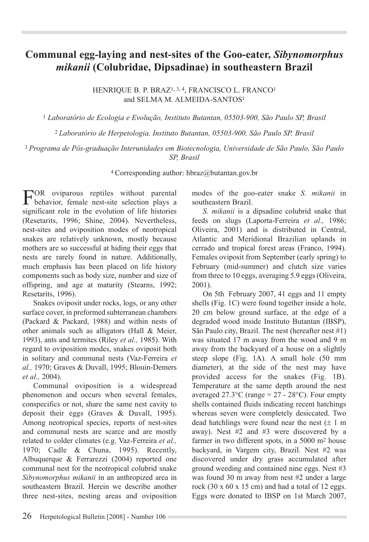## **Communal egg-laying and nest-sites of the Goo-eater,** *Sibynomorphus mikanii* **(Colubridae, Dipsadinae) in southeastern Brazil**

Henrique B. P. Braz1, 3, 4, Francisco L. Franco1 and SELMA M. ALMEIDA-SANTOS<sup>1</sup>

<sup>1</sup> *Laboratório de Ecologia e Evolução, Instituto Butantan, 05503-900, São Paulo SP, Brasil*

<sup>2</sup> *Laboratório de Herpetologia, Instituto Butantan, 05503-900, São Paulo SP, Brasil*

## <sup>3</sup> *Programa de Pós-graduação Interunidades em Biotecnologia, Universidade de São Paulo, São Paulo SP, Brasil*

<sup>4</sup> Corresponding author: hbraz@butantan.gov.br

For oviparous reptiles without parental behavior, female nest-site selection plays a significant role in the evolution of life histories (Resetarits, 1996; Shine, 2004). Nevertheless, nest-sites and oviposition modes of neotropical snakes are relatively unknown, mostly because mothers are so successful at hiding their eggs that nests are rarely found in nature. Additionally, much emphasis has been placed on life history components such as body size, number and size of offspring, and age at maturity (Stearns, 1992; Resetarits, 1996).

Snakes oviposit under rocks, logs, or any other surface cover, in preformed subterranean chambers (Packard & Packard, 1988) and within nests of other animals such as alligators (Hall & Meier, 1993), ants and termites (Riley *et al.,* 1985). With regard to oviposition modes, snakes oviposit both in solitary and communal nests (Vaz-Ferreira *et al.,* 1970; Graves & Duvall, 1995; Blouin-Demers *et al.,* 2004).

Communal oviposition is a widespread phenomenon and occurs when several females, conspecifics or not, share the same nest cavity to deposit their eggs (Graves & Duvall, 1995). Among neotropical species, reports of nest-sites and communal nests are scarce and are mostly related to colder climates (e.g. Vaz-Ferreira *et al.,*  1970; Cadle & Chuna, 1995). Recently, Albuquerque & Ferrarezzi (2004) reported one communal nest for the neotropical colubrid snake *Sibynomorphus mikanii* in an anthropized area in southeastern Brazil. Herein we describe another three nest-sites, nesting areas and oviposition

modes of the goo-eater snake *S. mikanii* in southeastern Brazil.

*S. mikanii* is a dipsadine colubrid snake that feeds on slugs (Laporta-Ferreira *et al.,* 1986; Oliveira, 2001) and is distributed in Central, Atlantic and Meridional Brazilian uplands in cerrado and tropical forest areas (Franco, 1994). Females oviposit from September (early spring) to February (mid-summer) and clutch size varies from three to 10 eggs, averaging 5.9 eggs (Oliveira, 2001).

On 5th February 2007, 41 eggs and 11 empty shells (Fig. 1C) were found together inside a hole, 20 cm below ground surface, at the edge of a degraded wood inside Instituto Butantan (IBSP), São Paulo city, Brazil. The nest (hereafter nest #1) was situated 17 m away from the wood and 9 m away from the backyard of a house on a slightly steep slope (Fig. 1A). A small hole (50 mm diameter), at the side of the nest may have provided access for the snakes (Fig. 1B). Temperature at the same depth around the nest averaged  $27.3^{\circ}$ C (range =  $27 - 28^{\circ}$ C). Four empty shells contained fluids indicating recent hatchings whereas seven were completely desiccated. Two dead hatchlings were found near the nest  $(\pm 1 \text{ m})$ away). Nest #2 and #3 were discovered by a farmer in two different spots, in a 5000 m2 house backyard, in Vargem city, Brazil. Nest #2 was discovered under dry grass accumulated after ground weeding and contained nine eggs. Nest #3 was found 30 m away from nest #2 under a large rock (30  $x$  60  $x$  15 cm) and had a total of 12 eggs. Eggs were donated to IBSP on 1st March 2007,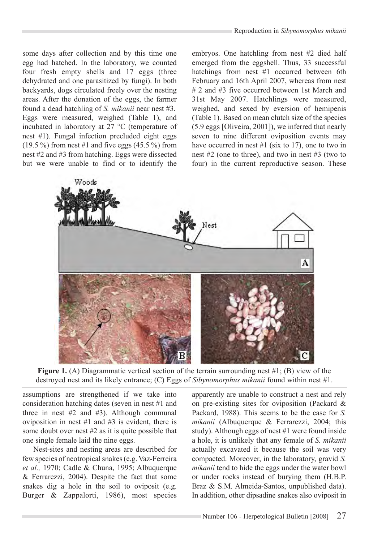some days after collection and by this time one egg had hatched. In the laboratory, we counted four fresh empty shells and 17 eggs (three dehydrated and one parasitized by fungi). In both backyards, dogs circulated freely over the nesting areas. After the donation of the eggs, the farmer found a dead hatchling of *S. mikanii* near nest #3. Eggs were measured, weighed (Table 1), and incubated in laboratory at 27 °C (temperature of nest #1). Fungal infection precluded eight eggs  $(19.5\%)$  from nest #1 and five eggs  $(45.5\%)$  from nest #2 and #3 from hatching. Eggs were dissected but we were unable to find or to identify the

embryos. One hatchling from nest #2 died half emerged from the eggshell. Thus, 33 successful hatchings from nest #1 occurred between 6th February and 16th April 2007, whereas from nest # 2 and #3 five occurred between 1st March and 31st May 2007. Hatchlings were measured, weighed, and sexed by eversion of hemipenis (Table 1). Based on mean clutch size of the species (5.9 eggs [Oliveira, 2001]), we inferred that nearly seven to nine different oviposition events may have occurred in nest #1 (six to 17), one to two in nest #2 (one to three), and two in nest #3 (two to four) in the current reproductive season. These



**Figure 1.** (A) Diagrammatic vertical section of the terrain surrounding nest #1; (B) view of the destroyed nest and its likely entrance; (C) Eggs of *Sibynomorphus mikanii* found within nest #1.

assumptions are strengthened if we take into consideration hatching dates (seven in nest #1 and three in nest #2 and #3). Although communal oviposition in nest #1 and #3 is evident, there is some doubt over nest #2 as it is quite possible that one single female laid the nine eggs.

Nest-sites and nesting areas are described for few species of neotropical snakes (e.g. Vaz-Ferreira *et al.,* 1970; Cadle & Chuna, 1995; Albuquerque & Ferrarezzi, 2004). Despite the fact that some snakes dig a hole in the soil to oviposit (e.g. Burger & Zappalorti, 1986), most species apparently are unable to construct a nest and rely on pre-existing sites for oviposition (Packard & Packard, 1988). This seems to be the case for *S. mikanii* (Albuquerque & Ferrarezzi, 2004; this study). Although eggs of nest #1 were found inside a hole, it is unlikely that any female of *S. mikanii*  actually excavated it because the soil was very compacted. Moreover, in the laboratory, gravid *S. mikanii* tend to hide the eggs under the water bowl or under rocks instead of burying them (H.B.P. Braz & S.M. Almeida-Santos, unpublished data). In addition, other dipsadine snakes also oviposit in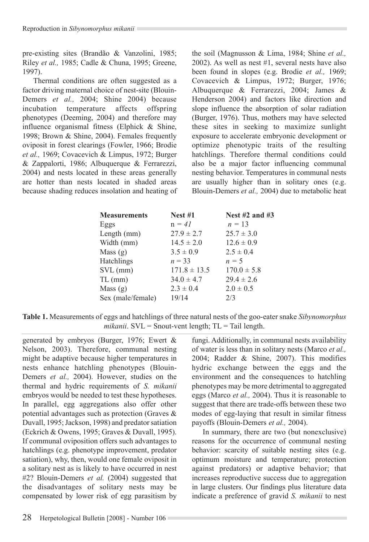pre-existing sites (Brandão & Vanzolini, 1985; Riley *et al.,* 1985; Cadle & Chuna, 1995; Greene, 1997).

Thermal conditions are often suggested as a factor driving maternal choice of nest-site (Blouin-Demers *et al.,* 2004; Shine 2004) because incubation temperature affects offspring phenotypes (Deeming, 2004) and therefore may influence organismal fitness (Elphick & Shine, 1998; Brown & Shine, 2004). Females frequently oviposit in forest clearings (Fowler, 1966; Brodie *et al.,* 1969; Covacevich & Limpus, 1972; Burger & Zappalorti, 1986; Albuquerque & Ferrarezzi, 2004) and nests located in these areas generally are hotter than nests located in shaded areas because shading reduces insolation and heating of the soil (Magnusson & Lima, 1984; Shine *et al.,*  2002). As well as nest #1, several nests have also been found in slopes (e.g. Brodie *et al.,* 1969; Covacevich & Limpus, 1972; Burger, 1976; Albuquerque & Ferrarezzi, 2004; James & Henderson 2004) and factors like direction and slope influence the absorption of solar radiation (Burger, 1976). Thus, mothers may have selected these sites in seeking to maximize sunlight exposure to accelerate embryonic development or optimize phenotypic traits of the resulting hatchlings. Therefore thermal conditions could also be a major factor influencing communal nesting behavior. Temperatures in communal nests are usually higher than in solitary ones (e.g. Blouin-Demers *et al.,* 2004) due to metabolic heat

| <b>Measurements</b> | <b>Nest #1</b>   | Nest $#2$ and $#3$ |
|---------------------|------------------|--------------------|
| Eggs                | $n = 4l$         | $n = 13$           |
| Length (mm)         | $27.9 \pm 2.7$   | $25.7 \pm 3.0$     |
| Width (mm)          | $14.5 \pm 2.0$   | $12.6 \pm 0.9$     |
| Mass $(g)$          | $3.5 \pm 0.9$    | $2.5 \pm 0.4$      |
| Hatchlings          | $n = 33$         | $n = 5$            |
| $SVL$ (mm)          | $171.8 \pm 13.5$ | $170.0 \pm 5.8$    |
| $TL$ (mm)           | $34.0 \pm 4.7$   | $29.4 \pm 2.6$     |
| Mass $(g)$          | $2.3 \pm 0.4$    | $2.0 \pm 0.5$      |
| Sex (male/female)   | 19/14            | 2/3                |

**Table 1.** Measurements of eggs and hatchlings of three natural nests of the goo-eater snake *Sibynomorphus mikanii*. SVL = Snout-vent length; TL = Tail length.

generated by embryos (Burger, 1976; Ewert & Nelson, 2003). Therefore, communal nesting might be adaptive because higher temperatures in nests enhance hatchling phenotypes (Blouin-Demers *et al.,* 2004). However, studies on the thermal and hydric requirements of *S. mikanii*  embryos would be needed to test these hypotheses. In parallel, egg aggregations also offer other potential advantages such as protection (Graves & Duvall, 1995; Jackson, 1998) and predator satiation (Eckrich & Owens, 1995; Graves & Duvall, 1995). If communal oviposition offers such advantages to hatchlings (e.g. phenotype improvement, predator satiation), why, then, would one female oviposit in a solitary nest as is likely to have occurred in nest #2? Blouin-Demers *et al.* (2004) suggested that the disadvantages of solitary nests may be compensated by lower risk of egg parasitism by

fungi. Additionally, in communal nests availability of water is less than in solitary nests (Marco *et al.,*  2004; Radder & Shine, 2007). This modifies hydric exchange between the eggs and the environment and the consequences to hatchling phenotypes may be more detrimental to aggregated eggs (Marco *et al.,* 2004). Thus it is reasonable to suggest that there are trade-offs between these two modes of egg-laying that result in similar fitness payoffs (Blouin-Demers *et al.,* 2004).

In summary, there are two (but nonexclusive) reasons for the occurrence of communal nesting behavior: scarcity of suitable nesting sites (e.g. optimum moisture and temperature; protection against predators) or adaptive behavior; that increases reproductive success due to aggregation in large clusters. Our findings plus literature data indicate a preference of gravid *S. mikanii* to nest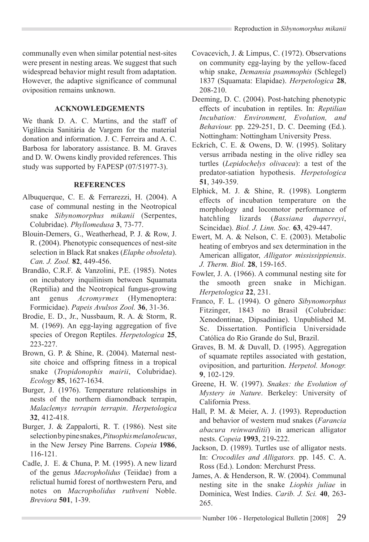communally even when similar potential nest-sites were present in nesting areas. We suggest that such widespread behavior might result from adaptation. However, the adaptive significance of communal oviposition remains unknown.

## **Acknowledgements**

We thank D. A. C. Martins, and the staff of Vigilância Sanitária de Vargem for the material donation and information. J. C. Ferreira and A. C. Barbosa for laboratory assistance. B. M. Graves and D. W. Owens kindly provided references. This study was supported by FAPESP (07/51977-3).

## **References**

- Albuquerque, C. E. & Ferrarezzi, H. (2004). A case of communal nesting in the Neotropical snake *Sibynomorphus mikanii* (Serpentes, Colubridae). *Phyllomedusa* **3**, 73-77.
- Blouin-Demers, G., Weatherhead, P. J. & Row, J. R. (2004). Phenotypic consequences of nest-site selection in Black Rat snakes (*Elaphe obsoleta*). *Can. J. Zool.* **82**, 449-456.
- Brandão, C.R.F. & Vanzolini, P.E. (1985). Notes on incubatory inquilinism between Squamata (Reptilia) and the Neotropical fungus-growing ant genus *Acromyrmex* (Hymenoptera: Formicidae). *Papeis Avulsos Zool.* **36**, 31-36.
- Brodie, E. D., Jr., Nussbaum, R. A. & Storm, R. M. (1969). An egg-laying aggregation of five species of Oregon Reptiles. *Herpetologica* **25**, 223-227.
- Brown, G. P. & Shine, R. (2004). Maternal nestsite choice and offspring fitness in a tropical snake (*Tropidonophis mairii*, Colubridae). *Ecology* **85**, 1627-1634.
- Burger, J. (1976). Temperature relationships in nests of the northern diamondback terrapin, *Malaclemys terrapin terrapin*. *Herpetologica*  **32**, 412-418.
- Burger, J. & Zappalorti, R. T. (1986). Nest site selection by pine snakes, *Pituophis melanoleucus*, in the New Jersey Pine Barrens. *Copeia* **1986**, 116-121.
- Cadle, J. E. & Chuna, P. M. (1995). A new lizard of the genus *Macropholidus* (Teiidae) from a relictual humid forest of northwestern Peru, and notes on *Macropholidus ruthveni* Noble. *Breviora* **501**, 1-39.
- Covacevich, J. & Limpus, C. (1972). Observations on community egg-laying by the yellow-faced whip snake, *Demansia psammophis* (Schlegel) 1837 (Squamata: Elapidae). *Herpetologica* **28**, 208-210.
- Deeming, D. C. (2004). Post-hatching phenotypic effects of incubation in reptiles. In: *Reptilian Incubation: Environment, Evolution, and Behaviour.* pp. 229-251, D. C. Deeming (Ed.). Nottingham: Nottingham University Press.
- Eckrich, C. E. & Owens, D. W. (1995). Solitary versus arribada nesting in the olive ridley sea turtles (*Lepidochelys olivacea*): a test of the predator-satiation hypothesis. *Herpetologica* **51**, 349-359.
- Elphick, M. J. & Shine, R. (1998). Longterm effects of incubation temperature on the morphology and locomotor performance of hatchling lizards (*Bassiana duperreyi*, Scincidae). *Biol. J. Linn. Soc.* **63**, 429-447.
- Ewert, M. A. & Nelson, C. E. (2003). Metabolic heating of embryos and sex determination in the American alligator, *Alligator mississippiensis*. *J. Therm. Biol.* **28**, 159-165.
- Fowler, J. A. (1966). A communal nesting site for the smooth green snake in Michigan. *Herpetologica* **22**, 231.
- Franco, F. L. (1994). O gênero *Sibynomorphus* Fitzinger, 1843 no Brasil (Colubridae: Xenodontinae, Dipsadiniae). Unpublished M. Sc. Dissertation. Pontifícia Universidade Católica do Rio Grande do Sul, Brazil.
- Graves, B. M. & Duvall, D. (1995). Aggregation of squamate reptiles associated with gestation, oviposition, and parturition. *Herpetol. Monogr.* **9**, 102-129.
- Greene, H. W. (1997). *Snakes: the Evolution of Mystery in Nature*. Berkeley: University of California Press.
- Hall, P. M. & Meier, A. J. (1993). Reproduction and behavior of western mud snakes (*Farancia abacura reinwarditii*) in american alligator nests. *Copeia* **1993**, 219-222.
- Jackson, D. (1989). Turtles use of alligator nests. In: *Crocodiles and Alligators.* pp. 145. C. A. Ross (Ed.). London: Merchurst Press.
- James, A. & Henderson, R. W. (2004). Communal nesting site in the snake *Liophis juliae* in Dominica, West Indies. *Carib. J. Sci.* **40**, 263- 265.